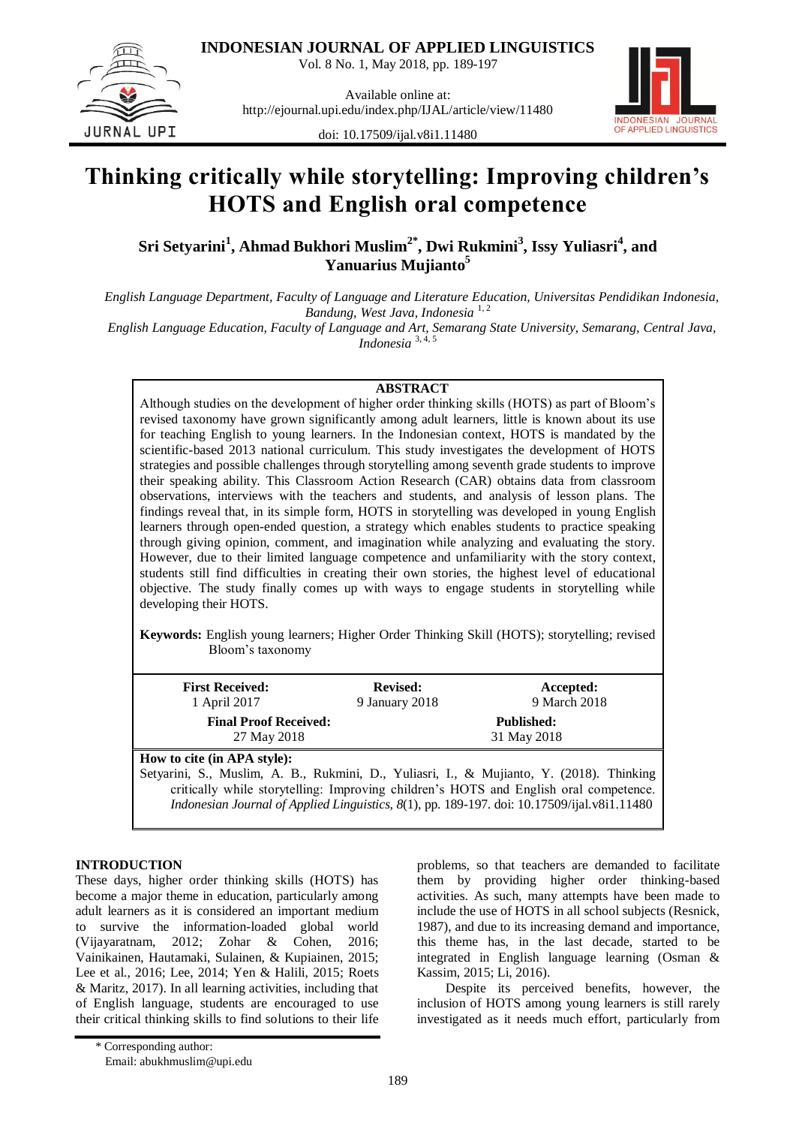**INDONESIAN JOURNAL OF APPLIED LINGUISTICS**

Vol. 8 No. 1, May 2018, pp. 189-197



Available online at: http://ejournal.upi.edu/index.php/IJAL/article/view/11480



doi: 10.17509/ijal.v8i1.11480

# **Thinking critically while storytelling: Improving children's HOTS and English oral competence**

**Sri Setyarini<sup>1</sup> , Ahmad Bukhori Muslim2\* , Dwi Rukmini<sup>3</sup> , Issy Yuliasri<sup>4</sup> , and Yanuarius Mujianto<sup>5</sup>**

*English Language Department, Faculty of Language and Literature Education, Universitas Pendidikan Indonesia, Bandung, West Java, Indonesia* 1, 2 *English Language Education, Faculty of Language and Art, Semarang State University, Semarang, Central Java,* 

*Indonesia* 3, 4, 5

## **ABSTRACT**

Although studies on the development of higher order thinking skills (HOTS) as part of Bloom"s revised taxonomy have grown significantly among adult learners, little is known about its use for teaching English to young learners. In the Indonesian context, HOTS is mandated by the scientific-based 2013 national curriculum. This study investigates the development of HOTS strategies and possible challenges through storytelling among seventh grade students to improve their speaking ability. This Classroom Action Research (CAR) obtains data from classroom observations, interviews with the teachers and students, and analysis of lesson plans. The findings reveal that, in its simple form, HOTS in storytelling was developed in young English learners through open-ended question, a strategy which enables students to practice speaking through giving opinion, comment, and imagination while analyzing and evaluating the story. However, due to their limited language competence and unfamiliarity with the story context, students still find difficulties in creating their own stories, the highest level of educational objective. The study finally comes up with ways to engage students in storytelling while developing their HOTS.

**Keywords:** English young learners; Higher Order Thinking Skill (HOTS); storytelling; revised Bloom"s taxonomy

| <b>First Received:</b>                      | <b>Revised:</b> | Accepted:                                                                                |  |
|---------------------------------------------|-----------------|------------------------------------------------------------------------------------------|--|
| 1 April 2017                                | 9 January 2018  | 9 March 2018                                                                             |  |
| <b>Final Proof Received:</b><br>27 May 2018 |                 | <b>Published:</b><br>31 May 2018                                                         |  |
| How to cite (in APA style):                 |                 |                                                                                          |  |
|                                             |                 | Setyarini, S., Muslim, A. B., Rukmini, D., Yuliasri, I., & Mujianto, Y. (2018). Thinking |  |

critically while storytelling: Improving children"s HOTS and English oral competence. *Indonesian Journal of Applied Linguistics, 8*(1), pp. 189-197. doi: [10.17509/ijal.v8i1.11480](http://dx.doi.org/10.17509/ijal.v8i1.11480)

# **INTRODUCTION**

These days, higher order thinking skills (HOTS) has become a major theme in education, particularly among adult learners as it is considered an important medium to survive the information-loaded global world (Vijayaratnam, 2012; Zohar & Cohen, 2016; Vainikainen, Hautamaki, Sulainen, & Kupiainen, 2015; Lee et al., 2016; Lee, 2014; Yen & Halili, 2015; Roets & Maritz, 2017). In all learning activities, including that of English language, students are encouraged to use their critical thinking skills to find solutions to their life problems, so that teachers are demanded to facilitate them by providing higher order thinking-based activities. As such, many attempts have been made to include the use of HOTS in all school subjects (Resnick, 1987), and due to its increasing demand and importance, this theme has, in the last decade, started to be integrated in English language learning (Osman & Kassim, 2015; Li, 2016).

Despite its perceived benefits, however, the inclusion of HOTS among young learners is still rarely investigated as it needs much effort, particularly from

<sup>\*</sup> Corresponding author:

Email: abukhmuslim@upi.edu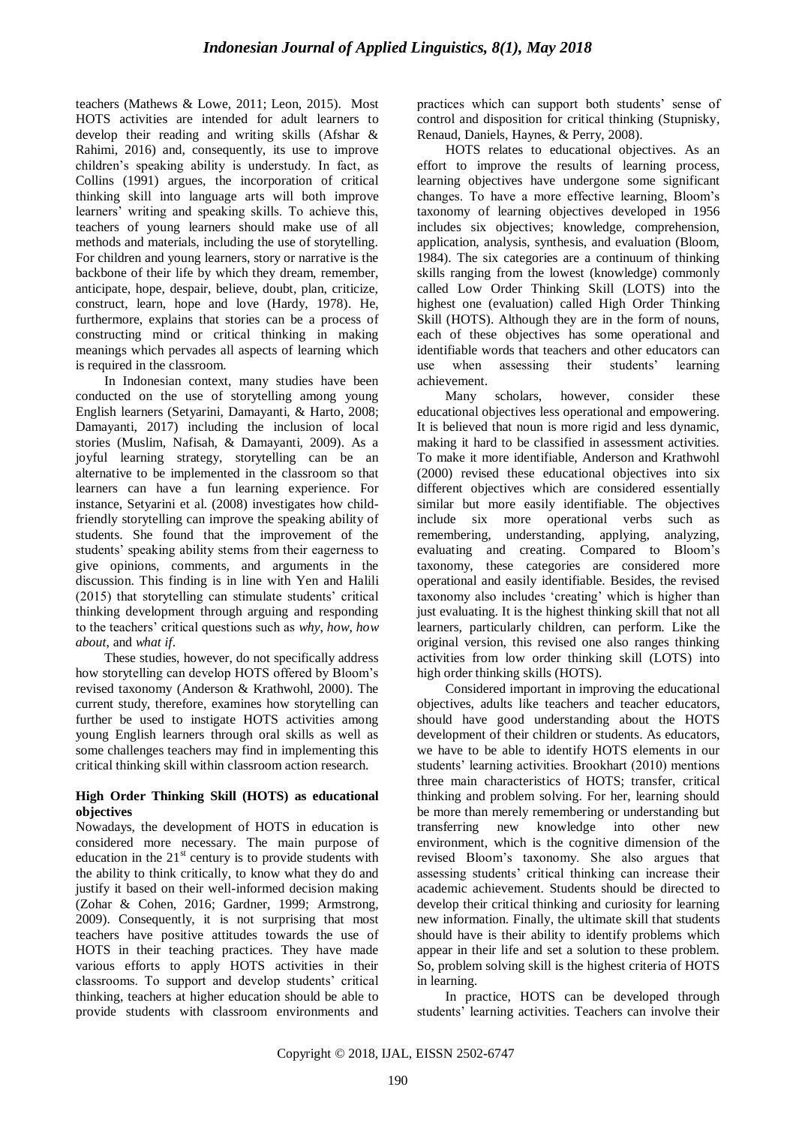teachers (Mathews & Lowe, 2011; Leon, 2015). Most HOTS activities are intended for adult learners to develop their reading and writing skills (Afshar & Rahimi, 2016) and, consequently, its use to improve children"s speaking ability is understudy. In fact, as Collins (1991) argues, the incorporation of critical thinking skill into language arts will both improve learners' writing and speaking skills. To achieve this, teachers of young learners should make use of all methods and materials, including the use of storytelling. For children and young learners, story or narrative is the backbone of their life by which they dream, remember, anticipate, hope, despair, believe, doubt, plan, criticize, construct, learn, hope and love (Hardy, 1978). He, furthermore, explains that stories can be a process of constructing mind or critical thinking in making meanings which pervades all aspects of learning which is required in the classroom.

In Indonesian context, many studies have been conducted on the use of storytelling among young English learners (Setyarini, Damayanti, & Harto, 2008; Damayanti, 2017) including the inclusion of local stories (Muslim, Nafisah, & Damayanti, 2009). As a joyful learning strategy, storytelling can be an alternative to be implemented in the classroom so that learners can have a fun learning experience. For instance, Setyarini et al. (2008) investigates how childfriendly storytelling can improve the speaking ability of students. She found that the improvement of the students' speaking ability stems from their eagerness to give opinions, comments, and arguments in the discussion. This finding is in line with Yen and Halili (2015) that storytelling can stimulate students' critical thinking development through arguing and responding to the teachers" critical questions such as *why*, *how*, *how about*, and *what if*.

These studies, however, do not specifically address how storytelling can develop HOTS offered by Bloom"s revised taxonomy (Anderson & Krathwohl, 2000). The current study, therefore, examines how storytelling can further be used to instigate HOTS activities among young English learners through oral skills as well as some challenges teachers may find in implementing this critical thinking skill within classroom action research.

### **High Order Thinking Skill (HOTS) as educational objectives**

Nowadays, the development of HOTS in education is considered more necessary. The main purpose of education in the  $21<sup>st</sup>$  century is to provide students with the ability to think critically, to know what they do and justify it based on their well-informed decision making (Zohar & Cohen, 2016; Gardner, 1999; Armstrong, 2009). Consequently, it is not surprising that most teachers have positive attitudes towards the use of HOTS in their teaching practices. They have made various efforts to apply HOTS activities in their classrooms. To support and develop students' critical thinking, teachers at higher education should be able to provide students with classroom environments and practices which can support both students" sense of control and disposition for critical thinking (Stupnisky, Renaud, Daniels, Haynes, & Perry, 2008).

HOTS relates to educational objectives. As an effort to improve the results of learning process, learning objectives have undergone some significant changes. To have a more effective learning, Bloom"s taxonomy of learning objectives developed in 1956 includes six objectives; knowledge, comprehension, application, analysis, synthesis, and evaluation (Bloom, 1984). The six categories are a continuum of thinking skills ranging from the lowest (knowledge) commonly called Low Order Thinking Skill (LOTS) into the highest one (evaluation) called High Order Thinking Skill (HOTS). Although they are in the form of nouns, each of these objectives has some operational and identifiable words that teachers and other educators can use when assessing their students' learning achievement.

Many scholars, however, consider these educational objectives less operational and empowering. It is believed that noun is more rigid and less dynamic, making it hard to be classified in assessment activities. To make it more identifiable, Anderson and Krathwohl (2000) revised these educational objectives into six different objectives which are considered essentially similar but more easily identifiable. The objectives include six more operational verbs such as remembering, understanding, applying, analyzing, evaluating and creating. Compared to Bloom"s taxonomy, these categories are considered more operational and easily identifiable. Besides, the revised taxonomy also includes "creating" which is higher than just evaluating. It is the highest thinking skill that not all learners, particularly children, can perform. Like the original version, this revised one also ranges thinking activities from low order thinking skill (LOTS) into high order thinking skills (HOTS).

Considered important in improving the educational objectives, adults like teachers and teacher educators, should have good understanding about the HOTS development of their children or students. As educators, we have to be able to identify HOTS elements in our students' learning activities. Brookhart (2010) mentions three main characteristics of HOTS; transfer, critical thinking and problem solving. For her, learning should be more than merely remembering or understanding but transferring new knowledge into other new environment, which is the cognitive dimension of the revised Bloom"s taxonomy. She also argues that assessing students' critical thinking can increase their academic achievement. Students should be directed to develop their critical thinking and curiosity for learning new information. Finally, the ultimate skill that students should have is their ability to identify problems which appear in their life and set a solution to these problem. So, problem solving skill is the highest criteria of HOTS in learning.

In practice, HOTS can be developed through students' learning activities. Teachers can involve their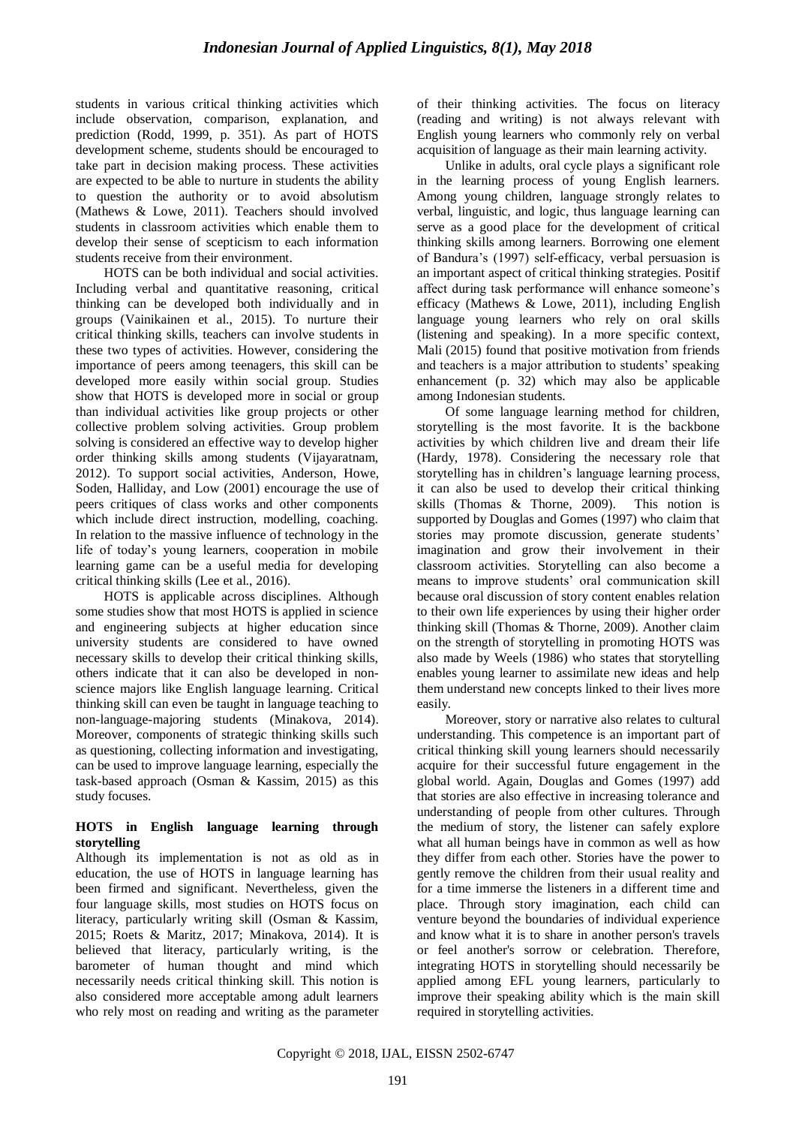students in various critical thinking activities which include observation, comparison, explanation, and prediction (Rodd, 1999, p. 351). As part of HOTS development scheme, students should be encouraged to take part in decision making process. These activities are expected to be able to nurture in students the ability to question the authority or to avoid absolutism (Mathews & Lowe, 2011). Teachers should involved students in classroom activities which enable them to develop their sense of scepticism to each information students receive from their environment.

HOTS can be both individual and social activities. Including verbal and quantitative reasoning, critical thinking can be developed both individually and in groups (Vainikainen et al., 2015). To nurture their critical thinking skills, teachers can involve students in these two types of activities. However, considering the importance of peers among teenagers, this skill can be developed more easily within social group. Studies show that HOTS is developed more in social or group than individual activities like group projects or other collective problem solving activities. Group problem solving is considered an effective way to develop higher order thinking skills among students (Vijayaratnam, 2012). To support social activities, Anderson, Howe, Soden, Halliday, and Low (2001) encourage the use of peers critiques of class works and other components which include direct instruction, modelling, coaching. In relation to the massive influence of technology in the life of today"s young learners, cooperation in mobile learning game can be a useful media for developing critical thinking skills (Lee et al., 2016).

HOTS is applicable across disciplines. Although some studies show that most HOTS is applied in science and engineering subjects at higher education since university students are considered to have owned necessary skills to develop their critical thinking skills, others indicate that it can also be developed in nonscience majors like English language learning. Critical thinking skill can even be taught in language teaching to non-language-majoring students (Minakova, 2014). Moreover, components of strategic thinking skills such as questioning, collecting information and investigating, can be used to improve language learning, especially the task-based approach (Osman & Kassim, 2015) as this study focuses.

## **HOTS in English language learning through storytelling**

Although its implementation is not as old as in education, the use of HOTS in language learning has been firmed and significant. Nevertheless, given the four language skills, most studies on HOTS focus on literacy, particularly writing skill (Osman & Kassim, 2015; Roets & Maritz, 2017; Minakova, 2014). It is believed that literacy, particularly writing, is the barometer of human thought and mind which necessarily needs critical thinking skill. This notion is also considered more acceptable among adult learners who rely most on reading and writing as the parameter of their thinking activities. The focus on literacy (reading and writing) is not always relevant with English young learners who commonly rely on verbal acquisition of language as their main learning activity.

Unlike in adults, oral cycle plays a significant role in the learning process of young English learners. Among young children, language strongly relates to verbal, linguistic, and logic, thus language learning can serve as a good place for the development of critical thinking skills among learners. Borrowing one element of Bandura"s (1997) self-efficacy, verbal persuasion is an important aspect of critical thinking strategies. Positif affect during task performance will enhance someone"s efficacy (Mathews & Lowe, 2011), including English language young learners who rely on oral skills (listening and speaking). In a more specific context, Mali (2015) found that positive motivation from friends and teachers is a major attribution to students' speaking enhancement (p. 32) which may also be applicable among Indonesian students.

Of some language learning method for children, storytelling is the most favorite. It is the backbone activities by which children live and dream their life (Hardy, 1978). Considering the necessary role that storytelling has in children"s language learning process, it can also be used to develop their critical thinking skills (Thomas & Thorne, 2009). This notion is supported by Douglas and Gomes (1997) who claim that stories may promote discussion, generate students' imagination and grow their involvement in their classroom activities. Storytelling can also become a means to improve students" oral communication skill because oral discussion of story content enables relation to their own life experiences by using their higher order thinking skill (Thomas & Thorne, 2009). Another claim on the strength of storytelling in promoting HOTS was also made by Weels (1986) who states that storytelling enables young learner to assimilate new ideas and help them understand new concepts linked to their lives more easily.

Moreover, story or narrative also relates to cultural understanding. This competence is an important part of critical thinking skill young learners should necessarily acquire for their successful future engagement in the global world. Again, Douglas and Gomes (1997) add that stories are also effective in increasing tolerance and understanding of people from other cultures. Through the medium of story, the listener can safely explore what all human beings have in common as well as how they differ from each other. Stories have the power to gently remove the children from their usual reality and for a time immerse the listeners in a different time and place. Through story imagination, each child can venture beyond the boundaries of individual experience and know what it is to share in another person's travels or feel another's sorrow or celebration. Therefore, integrating HOTS in storytelling should necessarily be applied among EFL young learners, particularly to improve their speaking ability which is the main skill required in storytelling activities.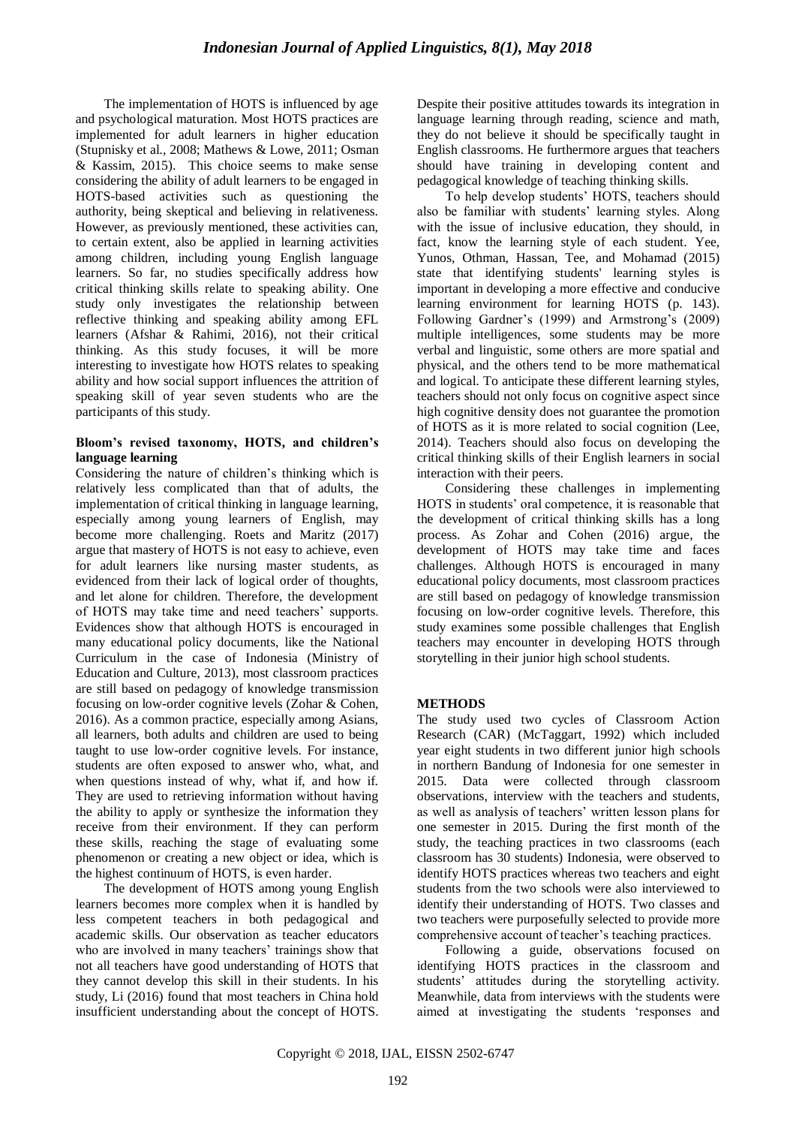The implementation of HOTS is influenced by age and psychological maturation. Most HOTS practices are implemented for adult learners in higher education (Stupnisky et al., 2008; Mathews & Lowe, 2011; Osman & Kassim, 2015). This choice seems to make sense considering the ability of adult learners to be engaged in HOTS-based activities such as questioning the authority, being skeptical and believing in relativeness. However, as previously mentioned, these activities can, to certain extent, also be applied in learning activities among children, including young English language learners. So far, no studies specifically address how critical thinking skills relate to speaking ability. One study only investigates the relationship between reflective thinking and speaking ability among EFL learners (Afshar & Rahimi, 2016), not their critical thinking. As this study focuses, it will be more interesting to investigate how HOTS relates to speaking ability and how social support influences the attrition of speaking skill of year seven students who are the participants of this study.

#### **Bloom's revised taxonomy, HOTS, and children's language learning**

Considering the nature of children"s thinking which is relatively less complicated than that of adults, the implementation of critical thinking in language learning, especially among young learners of English, may become more challenging. Roets and Maritz (2017) argue that mastery of HOTS is not easy to achieve, even for adult learners like nursing master students, as evidenced from their lack of logical order of thoughts, and let alone for children. Therefore, the development of HOTS may take time and need teachers" supports. Evidences show that although HOTS is encouraged in many educational policy documents, like the National Curriculum in the case of Indonesia (Ministry of Education and Culture, 2013), most classroom practices are still based on pedagogy of knowledge transmission focusing on low-order cognitive levels (Zohar & Cohen, 2016). As a common practice, especially among Asians, all learners, both adults and children are used to being taught to use low-order cognitive levels. For instance, students are often exposed to answer who, what, and when questions instead of why, what if, and how if. They are used to retrieving information without having the ability to apply or synthesize the information they receive from their environment. If they can perform these skills, reaching the stage of evaluating some phenomenon or creating a new object or idea, which is the highest continuum of HOTS, is even harder.

The development of HOTS among young English learners becomes more complex when it is handled by less competent teachers in both pedagogical and academic skills. Our observation as teacher educators who are involved in many teachers' trainings show that not all teachers have good understanding of HOTS that they cannot develop this skill in their students. In his study, Li (2016) found that most teachers in China hold insufficient understanding about the concept of HOTS. Despite their positive attitudes towards its integration in language learning through reading, science and math, they do not believe it should be specifically taught in English classrooms. He furthermore argues that teachers should have training in developing content and pedagogical knowledge of teaching thinking skills.

To help develop students" HOTS, teachers should also be familiar with students' learning styles. Along with the issue of inclusive education, they should, in fact, know the learning style of each student. Yee, Yunos, Othman, Hassan, Tee, and Mohamad (2015) state that identifying students' learning styles is important in developing a more effective and conducive learning environment for learning HOTS (p. 143). Following Gardner's (1999) and Armstrong's (2009) multiple intelligences, some students may be more verbal and linguistic, some others are more spatial and physical, and the others tend to be more mathematical and logical. To anticipate these different learning styles, teachers should not only focus on cognitive aspect since high cognitive density does not guarantee the promotion of HOTS as it is more related to social cognition (Lee, 2014). Teachers should also focus on developing the critical thinking skills of their English learners in social interaction with their peers.

Considering these challenges in implementing HOTS in students' oral competence, it is reasonable that the development of critical thinking skills has a long process. As Zohar and Cohen (2016) argue, the development of HOTS may take time and faces challenges. Although HOTS is encouraged in many educational policy documents, most classroom practices are still based on pedagogy of knowledge transmission focusing on low-order cognitive levels. Therefore, this study examines some possible challenges that English teachers may encounter in developing HOTS through storytelling in their junior high school students.

# **METHODS**

The study used two cycles of Classroom Action Research (CAR) (McTaggart, 1992) which included year eight students in two different junior high schools in northern Bandung of Indonesia for one semester in 2015. Data were collected through classroom observations, interview with the teachers and students, as well as analysis of teachers" written lesson plans for one semester in 2015. During the first month of the study, the teaching practices in two classrooms (each classroom has 30 students) Indonesia, were observed to identify HOTS practices whereas two teachers and eight students from the two schools were also interviewed to identify their understanding of HOTS. Two classes and two teachers were purposefully selected to provide more comprehensive account of teacher"s teaching practices.

Following a guide, observations focused on identifying HOTS practices in the classroom and students" attitudes during the storytelling activity. Meanwhile, data from interviews with the students were aimed at investigating the students "responses and

Copyright © 2018, IJAL, EISSN [2502-6747](http://u.lipi.go.id/1435827202)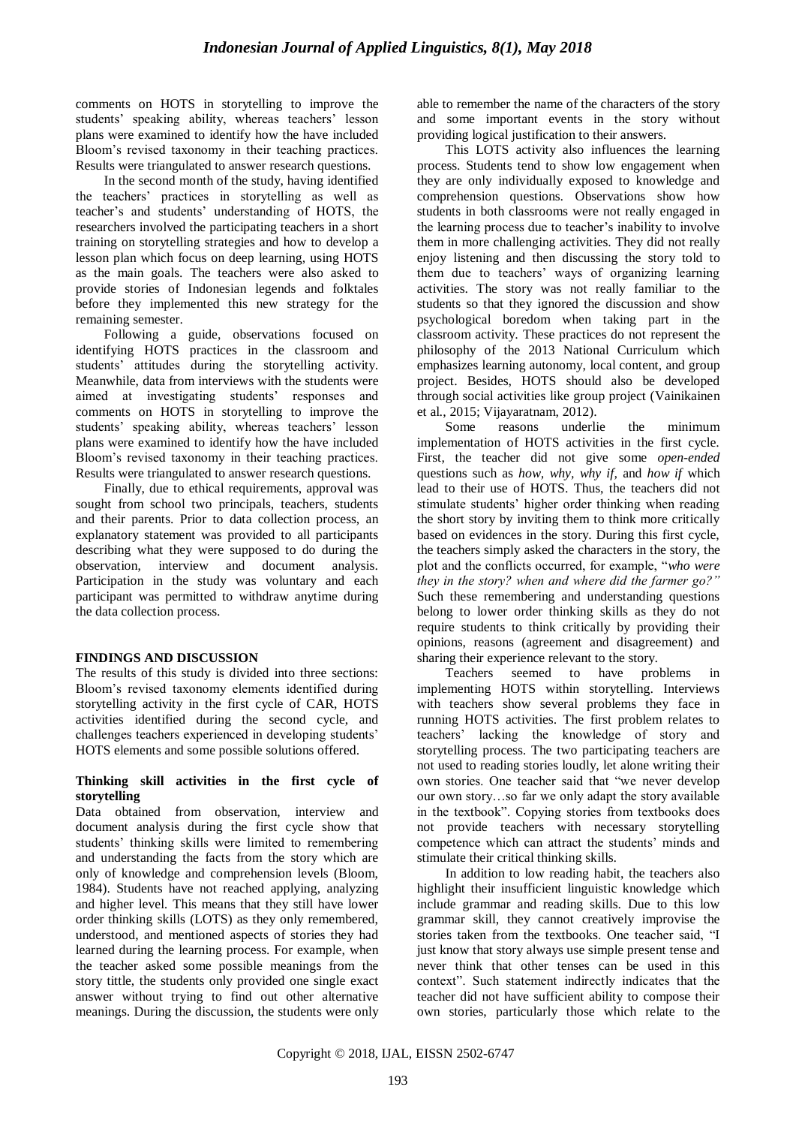comments on HOTS in storytelling to improve the students' speaking ability, whereas teachers' lesson plans were examined to identify how the have included Bloom"s revised taxonomy in their teaching practices. Results were triangulated to answer research questions.

In the second month of the study, having identified the teachers" practices in storytelling as well as teacher"s and students" understanding of HOTS, the researchers involved the participating teachers in a short training on storytelling strategies and how to develop a lesson plan which focus on deep learning, using HOTS as the main goals. The teachers were also asked to provide stories of Indonesian legends and folktales before they implemented this new strategy for the remaining semester.

Following a guide, observations focused on identifying HOTS practices in the classroom and students" attitudes during the storytelling activity. Meanwhile, data from interviews with the students were aimed at investigating students" responses and comments on HOTS in storytelling to improve the students' speaking ability, whereas teachers' lesson plans were examined to identify how the have included Bloom"s revised taxonomy in their teaching practices. Results were triangulated to answer research questions.

Finally, due to ethical requirements, approval was sought from school two principals, teachers, students and their parents. Prior to data collection process, an explanatory statement was provided to all participants describing what they were supposed to do during the observation, interview and document analysis. Participation in the study was voluntary and each participant was permitted to withdraw anytime during the data collection process.

### **FINDINGS AND DISCUSSION**

The results of this study is divided into three sections: Bloom"s revised taxonomy elements identified during storytelling activity in the first cycle of CAR, HOTS activities identified during the second cycle, and challenges teachers experienced in developing students' HOTS elements and some possible solutions offered.

#### **Thinking skill activities in the first cycle of storytelling**

Data obtained from observation, interview and document analysis during the first cycle show that students" thinking skills were limited to remembering and understanding the facts from the story which are only of knowledge and comprehension levels (Bloom, 1984). Students have not reached applying, analyzing and higher level*.* This means that they still have lower order thinking skills (LOTS) as they only remembered, understood, and mentioned aspects of stories they had learned during the learning process. For example, when the teacher asked some possible meanings from the story tittle, the students only provided one single exact answer without trying to find out other alternative meanings. During the discussion, the students were only able to remember the name of the characters of the story and some important events in the story without providing logical justification to their answers.

This LOTS activity also influences the learning process. Students tend to show low engagement when they are only individually exposed to knowledge and comprehension questions. Observations show how students in both classrooms were not really engaged in the learning process due to teacher"s inability to involve them in more challenging activities. They did not really enjoy listening and then discussing the story told to them due to teachers" ways of organizing learning activities. The story was not really familiar to the students so that they ignored the discussion and show psychological boredom when taking part in the classroom activity. These practices do not represent the philosophy of the 2013 National Curriculum which emphasizes learning autonomy, local content, and group project. Besides, HOTS should also be developed through social activities like group project (Vainikainen et al., 2015; Vijayaratnam, 2012).

Some reasons underlie the minimum implementation of HOTS activities in the first cycle. First, the teacher did not give some *open-ended*  questions such as *how, why, why if,* and *how if* which lead to their use of HOTS. Thus, the teachers did not stimulate students" higher order thinking when reading the short story by inviting them to think more critically based on evidences in the story. During this first cycle, the teachers simply asked the characters in the story, the plot and the conflicts occurred, for example, "*who were they in the story? when and where did the farmer go?"* Such these remembering and understanding questions belong to lower order thinking skills as they do not require students to think critically by providing their opinions, reasons (agreement and disagreement) and sharing their experience relevant to the story.

Teachers seemed to have problems in implementing HOTS within storytelling. Interviews with teachers show several problems they face in running HOTS activities. The first problem relates to teachers" lacking the knowledge of story and storytelling process. The two participating teachers are not used to reading stories loudly, let alone writing their own stories. One teacher said that "we never develop our own story…so far we only adapt the story available in the textbook". Copying stories from textbooks does not provide teachers with necessary storytelling competence which can attract the students" minds and stimulate their critical thinking skills.

In addition to low reading habit, the teachers also highlight their insufficient linguistic knowledge which include grammar and reading skills. Due to this low grammar skill, they cannot creatively improvise the stories taken from the textbooks. One teacher said, "I just know that story always use simple present tense and never think that other tenses can be used in this context". Such statement indirectly indicates that the teacher did not have sufficient ability to compose their own stories, particularly those which relate to the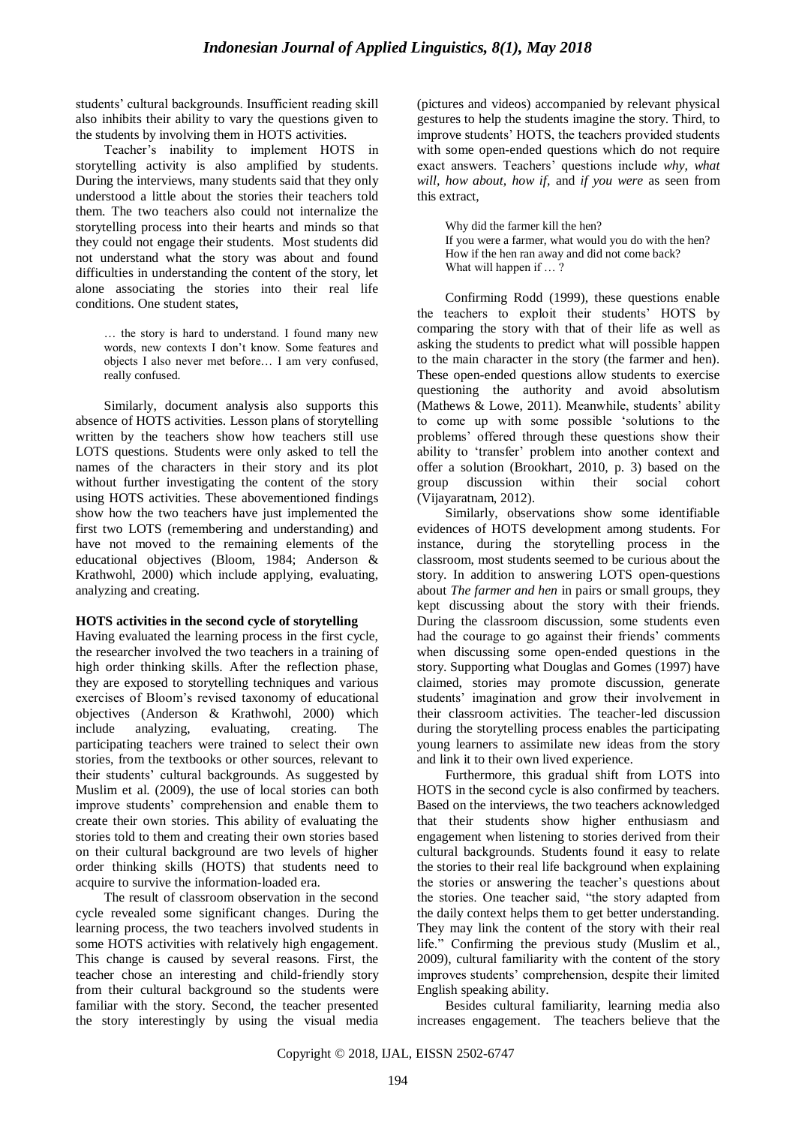students" cultural backgrounds. Insufficient reading skill also inhibits their ability to vary the questions given to the students by involving them in HOTS activities.

Teacher"s inability to implement HOTS in storytelling activity is also amplified by students. During the interviews, many students said that they only understood a little about the stories their teachers told them. The two teachers also could not internalize the storytelling process into their hearts and minds so that they could not engage their students. Most students did not understand what the story was about and found difficulties in understanding the content of the story, let alone associating the stories into their real life conditions. One student states,

… the story is hard to understand. I found many new words, new contexts I don"t know. Some features and objects I also never met before… I am very confused, really confused.

Similarly, document analysis also supports this absence of HOTS activities. Lesson plans of storytelling written by the teachers show how teachers still use LOTS questions. Students were only asked to tell the names of the characters in their story and its plot without further investigating the content of the story using HOTS activities. These abovementioned findings show how the two teachers have just implemented the first two LOTS (remembering and understanding) and have not moved to the remaining elements of the educational objectives (Bloom, 1984; Anderson & Krathwohl, 2000) which include applying, evaluating, analyzing and creating.

### **HOTS activities in the second cycle of storytelling**

Having evaluated the learning process in the first cycle, the researcher involved the two teachers in a training of high order thinking skills. After the reflection phase, they are exposed to storytelling techniques and various exercises of Bloom"s revised taxonomy of educational objectives (Anderson & Krathwohl, 2000) which include analyzing, evaluating, creating. The participating teachers were trained to select their own stories, from the textbooks or other sources, relevant to their students" cultural backgrounds. As suggested by Muslim et al. (2009), the use of local stories can both improve students" comprehension and enable them to create their own stories. This ability of evaluating the stories told to them and creating their own stories based on their cultural background are two levels of higher order thinking skills (HOTS) that students need to acquire to survive the information-loaded era.

The result of classroom observation in the second cycle revealed some significant changes. During the learning process, the two teachers involved students in some HOTS activities with relatively high engagement. This change is caused by several reasons. First, the teacher chose an interesting and child-friendly story from their cultural background so the students were familiar with the story. Second, the teacher presented the story interestingly by using the visual media (pictures and videos) accompanied by relevant physical gestures to help the students imagine the story. Third, to improve students" HOTS, the teachers provided students with some open-ended questions which do not require exact answers. Teachers' questions include *why, what will, how about, how if,* and *if you were* as seen from this extract,

Why did the farmer kill the hen? If you were a farmer, what would you do with the hen? How if the hen ran away and did not come back? What will happen if ...?

Confirming Rodd (1999), these questions enable the teachers to exploit their students" HOTS by comparing the story with that of their life as well as asking the students to predict what will possible happen to the main character in the story (the farmer and hen). These open-ended questions allow students to exercise questioning the authority and avoid absolutism (Mathews  $&$  Lowe, 2011). Meanwhile, students' ability to come up with some possible "solutions to the problems" offered through these questions show their ability to 'transfer' problem into another context and offer a solution (Brookhart, 2010, p. 3) based on the group discussion within their social cohort (Vijayaratnam, 2012).

Similarly, observations show some identifiable evidences of HOTS development among students. For instance, during the storytelling process in the classroom, most students seemed to be curious about the story. In addition to answering LOTS open-questions about *The farmer and hen* in pairs or small groups, they kept discussing about the story with their friends. During the classroom discussion, some students even had the courage to go against their friends' comments when discussing some open-ended questions in the story. Supporting what Douglas and Gomes (1997) have claimed, stories may promote discussion, generate students' imagination and grow their involvement in their classroom activities. The teacher-led discussion during the storytelling process enables the participating young learners to assimilate new ideas from the story and link it to their own lived experience.

Furthermore, this gradual shift from LOTS into HOTS in the second cycle is also confirmed by teachers. Based on the interviews, the two teachers acknowledged that their students show higher enthusiasm and engagement when listening to stories derived from their cultural backgrounds. Students found it easy to relate the stories to their real life background when explaining the stories or answering the teacher"s questions about the stories. One teacher said, "the story adapted from the daily context helps them to get better understanding. They may link the content of the story with their real life." Confirming the previous study (Muslim et al., 2009), cultural familiarity with the content of the story improves students" comprehension, despite their limited English speaking ability.

Besides cultural familiarity, learning media also increases engagement. The teachers believe that the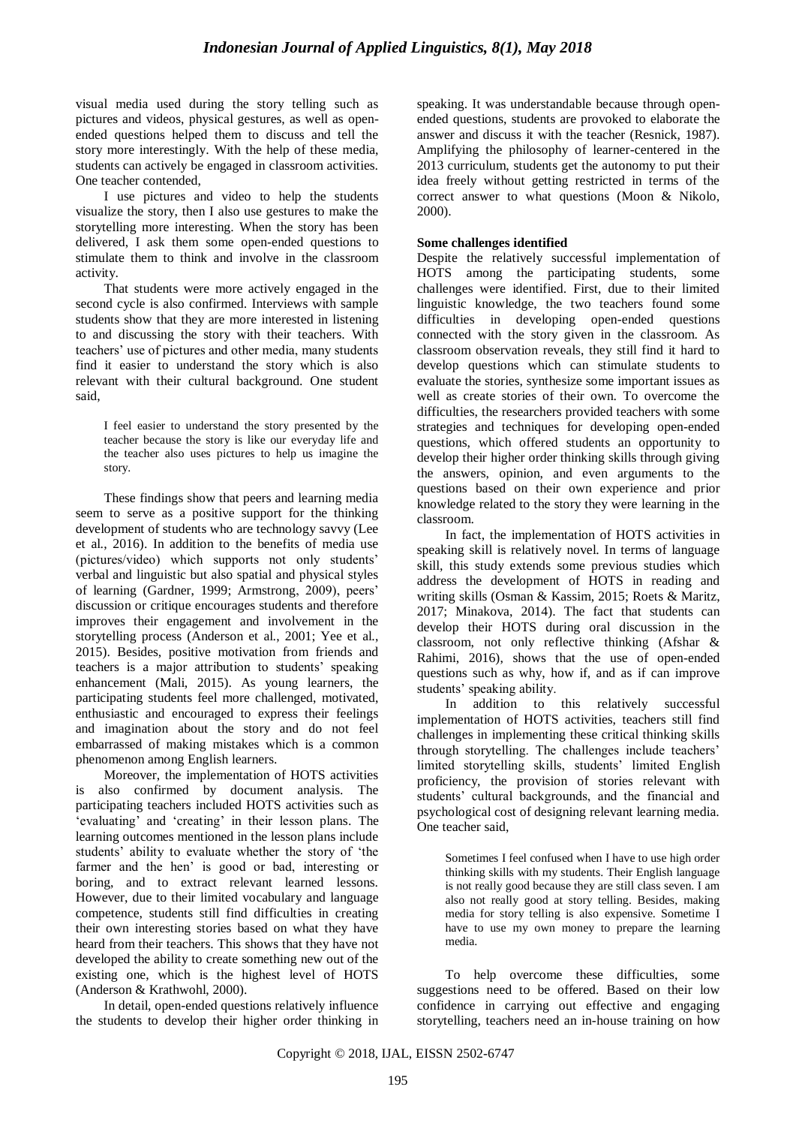visual media used during the story telling such as pictures and videos, physical gestures, as well as openended questions helped them to discuss and tell the story more interestingly. With the help of these media, students can actively be engaged in classroom activities. One teacher contended,

I use pictures and video to help the students visualize the story, then I also use gestures to make the storytelling more interesting. When the story has been delivered, I ask them some open-ended questions to stimulate them to think and involve in the classroom activity.

That students were more actively engaged in the second cycle is also confirmed. Interviews with sample students show that they are more interested in listening to and discussing the story with their teachers. With teachers' use of pictures and other media, many students find it easier to understand the story which is also relevant with their cultural background. One student said,

I feel easier to understand the story presented by the teacher because the story is like our everyday life and the teacher also uses pictures to help us imagine the story.

These findings show that peers and learning media seem to serve as a positive support for the thinking development of students who are technology savvy (Lee et al., 2016). In addition to the benefits of media use (pictures/video) which supports not only students" verbal and linguistic but also spatial and physical styles of learning (Gardner, 1999; Armstrong, 2009), peers" discussion or critique encourages students and therefore improves their engagement and involvement in the storytelling process (Anderson et al., 2001; Yee et al., 2015). Besides, positive motivation from friends and teachers is a major attribution to students' speaking enhancement (Mali, 2015). As young learners, the participating students feel more challenged, motivated, enthusiastic and encouraged to express their feelings and imagination about the story and do not feel embarrassed of making mistakes which is a common phenomenon among English learners.

Moreover, the implementation of HOTS activities is also confirmed by document analysis. The participating teachers included HOTS activities such as "evaluating" and "creating" in their lesson plans. The learning outcomes mentioned in the lesson plans include students" ability to evaluate whether the story of "the farmer and the hen' is good or bad, interesting or boring, and to extract relevant learned lessons. However, due to their limited vocabulary and language competence, students still find difficulties in creating their own interesting stories based on what they have heard from their teachers. This shows that they have not developed the ability to create something new out of the existing one, which is the highest level of HOTS (Anderson & Krathwohl, 2000).

In detail, open-ended questions relatively influence the students to develop their higher order thinking in speaking. It was understandable because through openended questions, students are provoked to elaborate the answer and discuss it with the teacher (Resnick, 1987). Amplifying the philosophy of learner-centered in the 2013 curriculum, students get the autonomy to put their idea freely without getting restricted in terms of the correct answer to what questions (Moon & Nikolo, 2000).

### **Some challenges identified**

Despite the relatively successful implementation of HOTS among the participating students, some challenges were identified. First, due to their limited linguistic knowledge, the two teachers found some difficulties in developing open-ended questions connected with the story given in the classroom. As classroom observation reveals, they still find it hard to develop questions which can stimulate students to evaluate the stories, synthesize some important issues as well as create stories of their own. To overcome the difficulties, the researchers provided teachers with some strategies and techniques for developing open-ended questions, which offered students an opportunity to develop their higher order thinking skills through giving the answers, opinion, and even arguments to the questions based on their own experience and prior knowledge related to the story they were learning in the classroom.

In fact, the implementation of HOTS activities in speaking skill is relatively novel. In terms of language skill, this study extends some previous studies which address the development of HOTS in reading and writing skills (Osman & Kassim, 2015; Roets & Maritz, 2017; Minakova, 2014). The fact that students can develop their HOTS during oral discussion in the classroom, not only reflective thinking (Afshar & Rahimi, 2016), shows that the use of open-ended questions such as why, how if, and as if can improve students' speaking ability.

In addition to this relatively successful implementation of HOTS activities, teachers still find challenges in implementing these critical thinking skills through storytelling. The challenges include teachers" limited storytelling skills, students' limited English proficiency, the provision of stories relevant with students" cultural backgrounds, and the financial and psychological cost of designing relevant learning media. One teacher said,

Sometimes I feel confused when I have to use high order thinking skills with my students. Their English language is not really good because they are still class seven. I am also not really good at story telling. Besides, making media for story telling is also expensive. Sometime I have to use my own money to prepare the learning media.

To help overcome these difficulties, some suggestions need to be offered. Based on their low confidence in carrying out effective and engaging storytelling, teachers need an in-house training on how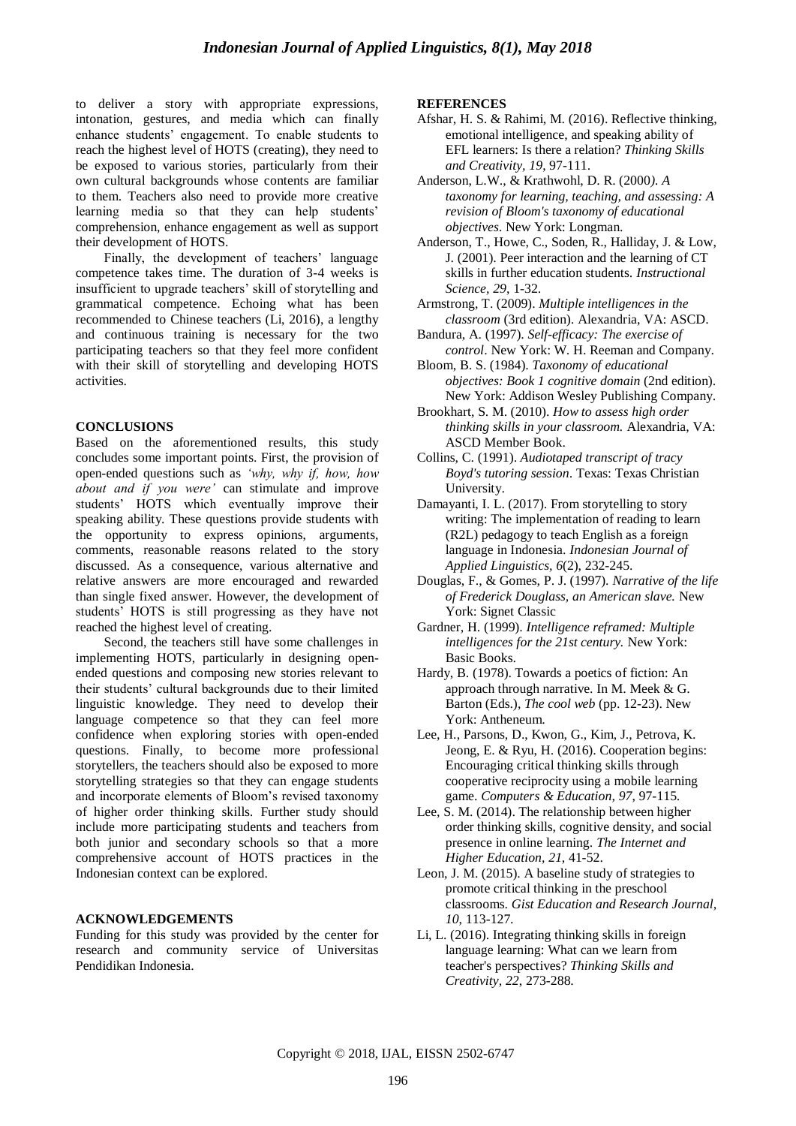to deliver a story with appropriate expressions, intonation, gestures, and media which can finally enhance students" engagement. To enable students to reach the highest level of HOTS (creating), they need to be exposed to various stories, particularly from their own cultural backgrounds whose contents are familiar to them. Teachers also need to provide more creative learning media so that they can help students' comprehension, enhance engagement as well as support their development of HOTS.

Finally, the development of teachers' language competence takes time. The duration of 3-4 weeks is insufficient to upgrade teachers' skill of storytelling and grammatical competence. Echoing what has been recommended to Chinese teachers (Li, 2016), a lengthy and continuous training is necessary for the two participating teachers so that they feel more confident with their skill of storytelling and developing HOTS activities.

#### **CONCLUSIONS**

Based on the aforementioned results, this study concludes some important points. First, the provision of open-ended questions such as *'why, why if, how, how about and if you were'* can stimulate and improve students" HOTS which eventually improve their speaking ability. These questions provide students with the opportunity to express opinions, arguments, comments, reasonable reasons related to the story discussed. As a consequence, various alternative and relative answers are more encouraged and rewarded than single fixed answer. However, the development of students" HOTS is still progressing as they have not reached the highest level of creating.

Second, the teachers still have some challenges in implementing HOTS, particularly in designing openended questions and composing new stories relevant to their students" cultural backgrounds due to their limited linguistic knowledge. They need to develop their language competence so that they can feel more confidence when exploring stories with open-ended questions. Finally, to become more professional storytellers, the teachers should also be exposed to more storytelling strategies so that they can engage students and incorporate elements of Bloom"s revised taxonomy of higher order thinking skills*.* Further study should include more participating students and teachers from both junior and secondary schools so that a more comprehensive account of HOTS practices in the Indonesian context can be explored.

#### **ACKNOWLEDGEMENTS**

Funding for this study was provided by the center for research and community service of Universitas Pendidikan Indonesia.

#### **REFERENCES**

- Afshar, H. S. & Rahimi, M. (2016). Reflective thinking, emotional intelligence, and speaking ability of EFL learners: Is there a relation? *Thinking Skills and Creativity, 19*, 97-111.
- Anderson, L.W., & Krathwohl, D. R. (2000*). A taxonomy for learning, teaching, and assessing: A revision of Bloom's taxonomy of educational objectives*. New York: Longman.
- Anderson, T., Howe, C., Soden, R., Halliday, J. & Low, J. (2001). Peer interaction and the learning of CT skills in further education students. *Instructional Science, 29*, 1-32.
- Armstrong, T. (2009). *Multiple intelligences in the classroom* (3rd edition). Alexandria, VA: ASCD.
- Bandura, A. (1997). *Self-efficacy: The exercise of control*. New York: W. H. Reeman and Company.
- Bloom, B. S. (1984). *Taxonomy of educational objectives: Book 1 cognitive domain* (2nd edition). New York: Addison Wesley Publishing Company.
- Brookhart, S. M. (2010). *How to assess high order thinking skills in your classroom.* Alexandria, VA: ASCD Member Book.
- Collins, C. (1991). *Audiotaped transcript of tracy Boyd's tutoring session*. Texas: Texas Christian University.
- Damayanti, I. L. (2017). From storytelling to story writing: The implementation of reading to learn (R2L) pedagogy to teach English as a foreign language in Indonesia. *Indonesian Journal of Applied Linguistics, 6*(2), 232-245.
- Douglas, F., & Gomes, P. J. (1997). *Narrative of the life of Frederick Douglass, an American slave.* New York: Signet Classic
- Gardner, H. (1999). *Intelligence reframed: Multiple intelligences for the 21st century.* New York: Basic Books.
- Hardy, B. (1978). Towards a poetics of fiction: An approach through narrative. In M. Meek & G. Barton (Eds.), *The cool web* (pp. 12-23). New York: Antheneum.
- Lee, H., Parsons, D., Kwon, G., Kim, J., Petrova, K. Jeong, E. & Ryu, H. (2016). Cooperation begins: Encouraging critical thinking skills through cooperative reciprocity using a mobile learning game. *Computers & Education, 97*, 97-115.
- Lee, S. M. (2014). The relationship between higher order thinking skills, cognitive density, and social presence in online learning. *The Internet and Higher Education, 21*, 41-52.
- Leon, J. M. (2015). A baseline study of strategies to promote critical thinking in the preschool classrooms. *Gist Education and Research Journal, 10*, 113-127.
- Li, L. (2016). Integrating thinking skills in foreign language learning: What can we learn from teacher's perspectives? *Thinking Skills and Creativity, 22*, 273-288.